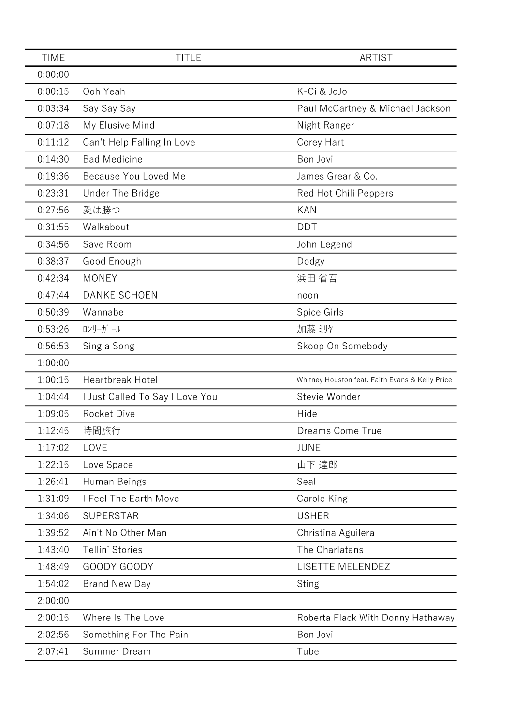| <b>TIME</b> | <b>TITLE</b>                    | <b>ARTIST</b>                                   |
|-------------|---------------------------------|-------------------------------------------------|
| 0:00:00     |                                 |                                                 |
| 0:00:15     | Ooh Yeah                        | K-Ci & JoJo                                     |
| 0:03:34     | Say Say Say                     | Paul McCartney & Michael Jackson                |
| 0:07:18     | My Elusive Mind                 | Night Ranger                                    |
| 0:11:12     | Can't Help Falling In Love      | Corey Hart                                      |
| 0:14:30     | <b>Bad Medicine</b>             | Bon Jovi                                        |
| 0:19:36     | Because You Loved Me            | James Grear & Co.                               |
| 0:23:31     | Under The Bridge                | Red Hot Chili Peppers                           |
| 0:27:56     | 愛は勝つ                            | <b>KAN</b>                                      |
| 0:31:55     | Walkabout                       | <b>DDT</b>                                      |
| 0:34:56     | Save Room                       | John Legend                                     |
| 0:38:37     | Good Enough                     | Dodgy                                           |
| 0:42:34     | <b>MONEY</b>                    | 浜田 省吾                                           |
| 0:47:44     | <b>DANKE SCHOEN</b>             | noon                                            |
| 0:50:39     | Wannabe                         | Spice Girls                                     |
| 0:53:26     | ロンリーガール                         | 加藤 ミリヤ                                          |
| 0:56:53     | Sing a Song                     | Skoop On Somebody                               |
| 1:00:00     |                                 |                                                 |
| 1:00:15     | <b>Heartbreak Hotel</b>         | Whitney Houston feat. Faith Evans & Kelly Price |
| 1:04:44     | I Just Called To Say I Love You | Stevie Wonder                                   |
| 1:09:05     | <b>Rocket Dive</b>              | Hide                                            |
| 1:12:45     | 時間旅行                            | Dreams Come True                                |
| 1:17:02     | LOVE                            | <b>JUNE</b>                                     |
| 1:22:15     | Love Space                      | 山下 達郎                                           |
| 1:26:41     | Human Beings                    | Seal                                            |
| 1:31:09     | I Feel The Earth Move           | Carole King                                     |
| 1:34:06     | <b>SUPERSTAR</b>                | <b>USHER</b>                                    |
| 1:39:52     | Ain't No Other Man              | Christina Aguilera                              |
| 1:43:40     | Tellin' Stories                 | The Charlatans                                  |
| 1:48:49     | GOODY GOODY                     | LISETTE MELENDEZ                                |
| 1:54:02     | <b>Brand New Day</b>            | <b>Sting</b>                                    |
| 2:00:00     |                                 |                                                 |
| 2:00:15     | Where Is The Love               | Roberta Flack With Donny Hathaway               |
| 2:02:56     | Something For The Pain          | Bon Jovi                                        |
| 2:07:41     | Summer Dream                    | Tube                                            |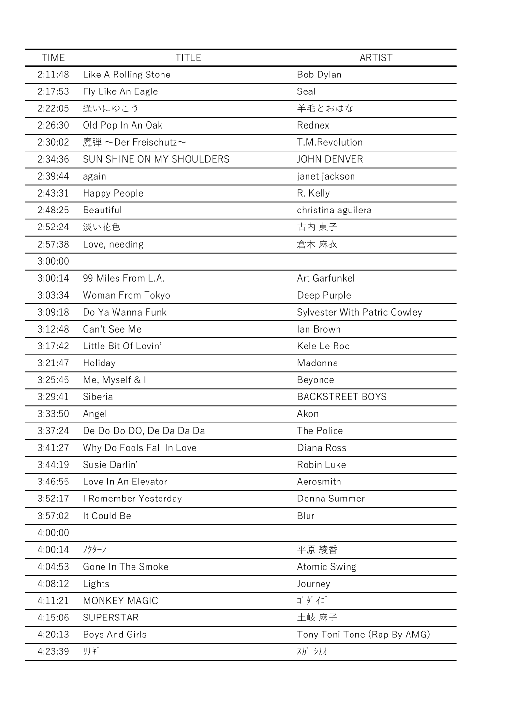| <b>TIME</b> | <b>TITLE</b>              | <b>ARTIST</b>                       |
|-------------|---------------------------|-------------------------------------|
| 2:11:48     | Like A Rolling Stone      | Bob Dylan                           |
| 2:17:53     | Fly Like An Eagle         | Seal                                |
| 2:22:05     | 逢いにゆこう                    | 羊毛とおはな                              |
| 2:26:30     | Old Pop In An Oak         | Rednex                              |
| 2:30:02     | 魔弾 ~Der Freischutz~       | T.M.Revolution                      |
| 2:34:36     | SUN SHINE ON MY SHOULDERS | <b>JOHN DENVER</b>                  |
| 2:39:44     | again                     | janet jackson                       |
| 2:43:31     | Happy People              | R. Kelly                            |
| 2:48:25     | Beautiful                 | christina aguilera                  |
| 2:52:24     | 淡い花色                      | 古内 東子                               |
| 2:57:38     | Love, needing             | 倉木 麻衣                               |
| 3:00:00     |                           |                                     |
| 3:00:14     | 99 Miles From L.A.        | Art Garfunkel                       |
| 3:03:34     | Woman From Tokyo          | Deep Purple                         |
| 3:09:18     | Do Ya Wanna Funk          | <b>Sylvester With Patric Cowley</b> |
| 3:12:48     | Can't See Me              | lan Brown                           |
| 3:17:42     | Little Bit Of Lovin'      | Kele Le Roc                         |
| 3:21:47     | Holiday                   | Madonna                             |
| 3:25:45     | Me, Myself & I            | Beyonce                             |
| 3:29:41     | Siberia                   | <b>BACKSTREET BOYS</b>              |
| 3:33:50     | Angel                     | Akon                                |
| 3:37:24     | De Do Do DO, De Da Da Da  | The Police                          |
| 3:41:27     | Why Do Fools Fall In Love | Diana Ross                          |
| 3:44:19     | Susie Darlin'             | Robin Luke                          |
| 3:46:55     | Love In An Elevator       | Aerosmith                           |
| 3:52:17     | I Remember Yesterday      | Donna Summer                        |
| 3:57:02     | It Could Be               | Blur                                |
| 4:00:00     |                           |                                     |
| 4:00:14     | ノクターン                     | 平原 綾香                               |
| 4:04:53     | Gone In The Smoke         | <b>Atomic Swing</b>                 |
| 4:08:12     | Lights                    | Journey                             |
| 4:11:21     | <b>MONKEY MAGIC</b>       | ゴダイゴ                                |
| 4:15:06     | <b>SUPERSTAR</b>          | 土岐 麻子                               |
| 4:20:13     | Boys And Girls            | Tony Toni Tone (Rap By AMG)         |
| 4:23:39     | サナギ                       | 入力 シカオ                              |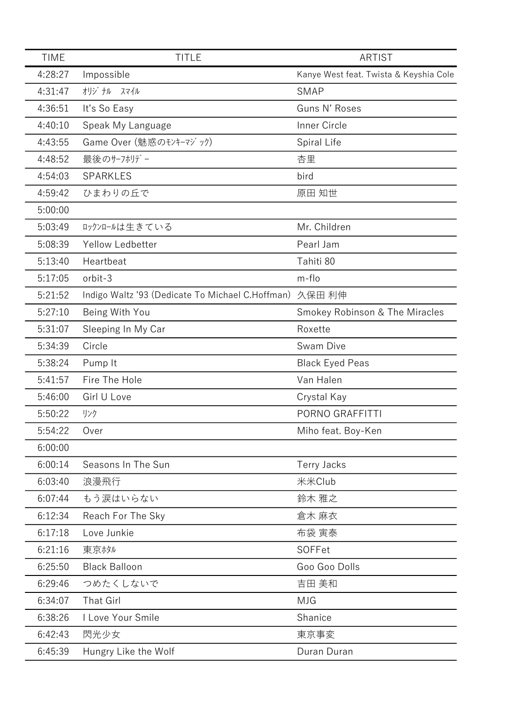| <b>TIME</b> | <b>TITLE</b>                                            | <b>ARTIST</b>                          |
|-------------|---------------------------------------------------------|----------------------------------------|
| 4:28:27     | Impossible                                              | Kanye West feat. Twista & Keyshia Cole |
| 4:31:47     | オリジ ナル スマイル                                             | <b>SMAP</b>                            |
| 4:36:51     | It's So Easy                                            | Guns N' Roses                          |
| 4:40:10     | Speak My Language                                       | Inner Circle                           |
| 4:43:55     | Game Over (魅惑のモンキーマジック)                                 | Spiral Life                            |
| 4:48:52     | 最後のサーフホリデー                                              | 杏里                                     |
| 4:54:03     | SPARKLES                                                | bird                                   |
| 4:59:42     | ひまわりの丘で                                                 | 原田 知世                                  |
| 5:00:00     |                                                         |                                        |
| 5:03:49     | ロックンロールは生きている                                           | Mr. Children                           |
| 5:08:39     | Yellow Ledbetter                                        | Pearl Jam                              |
| 5:13:40     | Heartbeat                                               | Tahiti 80                              |
| 5:17:05     | orbit-3                                                 | m-flo                                  |
| 5:21:52     | Indigo Waltz '93 (Dedicate To Michael C.Hoffman) 久保田 利伸 |                                        |
| 5:27:10     | Being With You                                          | Smokey Robinson & The Miracles         |
| 5:31:07     | Sleeping In My Car                                      | Roxette                                |
| 5:34:39     | Circle                                                  | Swam Dive                              |
| 5:38:24     | Pump It                                                 | <b>Black Eyed Peas</b>                 |
| 5:41:57     | Fire The Hole                                           | Van Halen                              |
| 5:46:00     | Girl U Love                                             | Crystal Kay                            |
| 5:50:22     | リンク                                                     | PORNO GRAFFITTI                        |
| 5:54:22     | Over                                                    | Miho feat. Boy-Ken                     |
| 6:00:00     |                                                         |                                        |
| 6:00:14     | Seasons In The Sun                                      | Terry Jacks                            |
| 6:03:40     | 浪漫飛行                                                    | 米米Club                                 |
| 6:07:44     | もう涙はいらない                                                | 鈴木 雅之                                  |
| 6:12:34     | Reach For The Sky                                       | 倉木 麻衣                                  |
| 6:17:18     | Love Junkie                                             | 布袋 寅泰                                  |
| 6:21:16     | 東京旅ル                                                    | SOFFet                                 |
| 6:25:50     | <b>Black Balloon</b>                                    | Goo Goo Dolls                          |
| 6:29:46     | つめたくしないで                                                | 吉田 美和                                  |
| 6:34:07     | <b>That Girl</b>                                        | <b>MJG</b>                             |
| 6:38:26     | I Love Your Smile                                       | Shanice                                |
| 6:42:43     | 閃光少女                                                    | 東京事変                                   |
| 6:45:39     | Hungry Like the Wolf                                    | Duran Duran                            |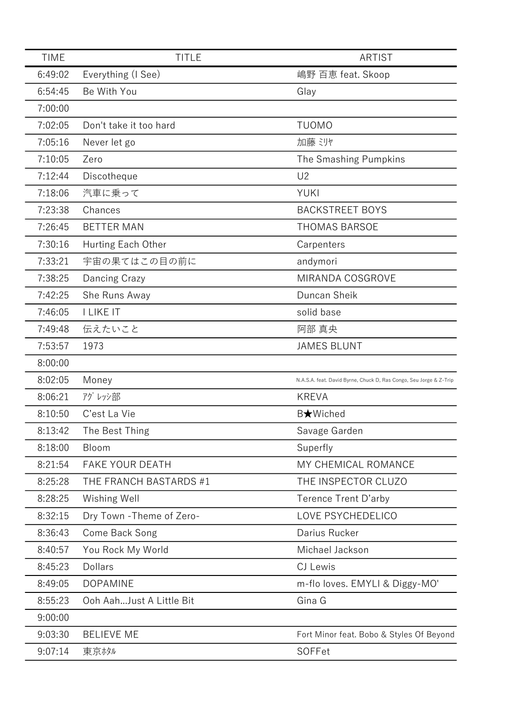| <b>TIME</b><br><b>TITLE</b>                                                            | <b>ARTIST</b>                            |
|----------------------------------------------------------------------------------------|------------------------------------------|
| 6:49:02<br>嶋野 百恵 feat. Skoop<br>Everything (I See)                                     |                                          |
| 6:54:45<br>Be With You<br>Glay                                                         |                                          |
| 7:00:00                                                                                |                                          |
| 7:02:05<br><b>TUOMO</b><br>Don't take it too hard                                      |                                          |
| 加藤 ミリヤ<br>7:05:16<br>Never let go                                                      |                                          |
| 7:10:05<br>Zero<br>The Smashing Pumpkins                                               |                                          |
| 7:12:44<br>U <sub>2</sub><br>Discotheque                                               |                                          |
| 7:18:06<br><b>YUKI</b><br>汽車に乗って                                                       |                                          |
| 7:23:38<br>Chances<br><b>BACKSTREET BOYS</b>                                           |                                          |
| 7:26:45<br><b>BETTER MAN</b><br><b>THOMAS BARSOE</b>                                   |                                          |
| 7:30:16<br>Hurting Each Other<br>Carpenters                                            |                                          |
| 宇宙の果てはこの目の前に<br>7:33:21<br>andymori                                                    |                                          |
| 7:38:25<br>MIRANDA COSGROVE<br>Dancing Crazy                                           |                                          |
| 7:42:25<br>She Runs Away<br>Duncan Sheik                                               |                                          |
| 7:46:05<br><b>I LIKE IT</b><br>solid base                                              |                                          |
| 伝えたいこと<br>7:49:48<br>阿部 真央                                                             |                                          |
| 7:53:57<br>1973<br><b>JAMES BLUNT</b>                                                  |                                          |
| 8:00:00                                                                                |                                          |
| 8:02:05<br>Money<br>N.A.S.A. feat. David Byrne, Chuck D, Ras Congo, Seu Jorge & Z-Trip |                                          |
| アグレッシ音阝<br>8:06:21<br><b>KREVA</b>                                                     |                                          |
| 8:10:50<br>C'est La Vie<br>B★Wiched                                                    |                                          |
| 8:13:42<br>The Best Thing<br>Savage Garden                                             |                                          |
| 8:18:00<br>Bloom<br>Superfly                                                           |                                          |
| 8:21:54<br><b>FAKE YOUR DEATH</b><br>MY CHEMICAL ROMANCE                               |                                          |
| THE INSPECTOR CLUZO<br>8:25:28<br>THE FRANCH BASTARDS #1                               |                                          |
| 8:28:25<br>Wishing Well<br>Terence Trent D'arby                                        |                                          |
| LOVE PSYCHEDELICO<br>8:32:15<br>Dry Town - Theme of Zero-                              |                                          |
| Darius Rucker<br>8:36:43<br>Come Back Song                                             |                                          |
| 8:40:57<br>You Rock My World<br>Michael Jackson                                        |                                          |
| 8:45:23<br>CJ Lewis<br>Dollars                                                         |                                          |
| 8:49:05<br><b>DOPAMINE</b><br>m-flo loves. EMYLI & Diggy-MO'                           |                                          |
| 8:55:23<br>Ooh AahJust A Little Bit<br>Gina G                                          |                                          |
| 9:00:00                                                                                |                                          |
| 9:03:30<br><b>BELIEVE ME</b>                                                           | Fort Minor feat. Bobo & Styles Of Beyond |
| 9:07:14<br>SOFFet<br>東京ホタル                                                             |                                          |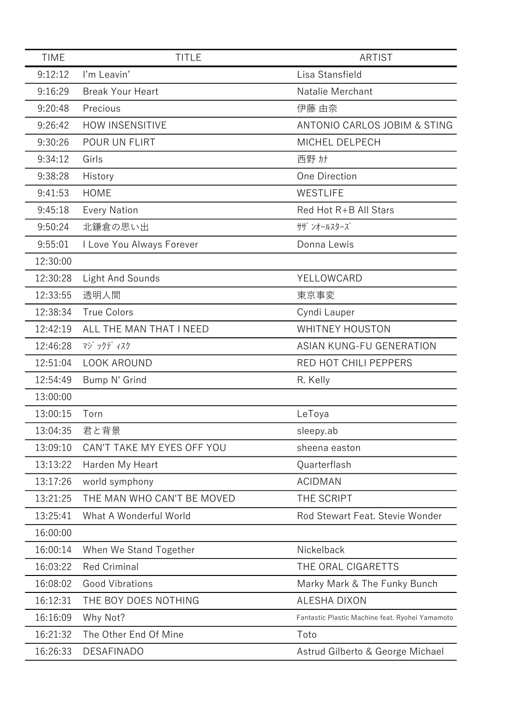| <b>TIME</b> | <b>TITLE</b>               | <b>ARTIST</b>                                   |
|-------------|----------------------------|-------------------------------------------------|
| 9:12:12     | I'm Leavin'                | Lisa Stansfield                                 |
| 9:16:29     | <b>Break Your Heart</b>    | Natalie Merchant                                |
| 9:20:48     | Precious                   | 伊藤 由奈                                           |
| 9:26:42     | <b>HOW INSENSITIVE</b>     | ANTONIO CARLOS JOBIM & STING                    |
| 9:30:26     | POUR UN FLIRT              | MICHEL DELPECH                                  |
| 9:34:12     | Girls                      | 西野カナ                                            |
| 9:38:28     | History                    | One Direction                                   |
| 9:41:53     | <b>HOME</b>                | WESTLIFE                                        |
| 9:45:18     | <b>Every Nation</b>        | Red Hot R+B All Stars                           |
| 9:50:24     | 北鎌倉の思い出                    | サザ゛ンオールスターズ゛                                    |
| 9:55:01     | I Love You Always Forever  | Donna Lewis                                     |
| 12:30:00    |                            |                                                 |
| 12:30:28    | Light And Sounds           | YELLOWCARD                                      |
| 12:33:55    | 透明人間                       | 東京事変                                            |
| 12:38:34    | <b>True Colors</b>         | Cyndi Lauper                                    |
| 12:42:19    | ALL THE MAN THAT I NEED    | <b>WHITNEY HOUSTON</b>                          |
| 12:46:28    | マジ ックデ ィスク                 | ASIAN KUNG-FU GENERATION                        |
| 12:51:04    | LOOK AROUND                | RED HOT CHILI PEPPERS                           |
| 12:54:49    | Bump N' Grind              | R. Kelly                                        |
| 13:00:00    |                            |                                                 |
| 13:00:15    | Torn                       | LeToya                                          |
| 13:04:35    | 君と背景                       | sleepy.ab                                       |
| 13:09:10    | CAN'T TAKE MY EYES OFF YOU | sheena easton                                   |
| 13:13:22    | Harden My Heart            | Quarterflash                                    |
| 13:17:26    | world symphony             | <b>ACIDMAN</b>                                  |
| 13:21:25    | THE MAN WHO CAN'T BE MOVED | THE SCRIPT                                      |
| 13:25:41    | What A Wonderful World     | Rod Stewart Feat. Stevie Wonder                 |
| 16:00:00    |                            |                                                 |
| 16:00:14    | When We Stand Together     | Nickelback                                      |
| 16:03:22    | <b>Red Criminal</b>        | THE ORAL CIGARETTS                              |
| 16:08:02    | <b>Good Vibrations</b>     | Marky Mark & The Funky Bunch                    |
| 16:12:31    | THE BOY DOES NOTHING       | ALESHA DIXON                                    |
| 16:16:09    | Why Not?                   | Fantastic Plastic Machine feat. Ryohei Yamamoto |
| 16:21:32    | The Other End Of Mine      | Toto                                            |
| 16:26:33    | <b>DESAFINADO</b>          | Astrud Gilberto & George Michael                |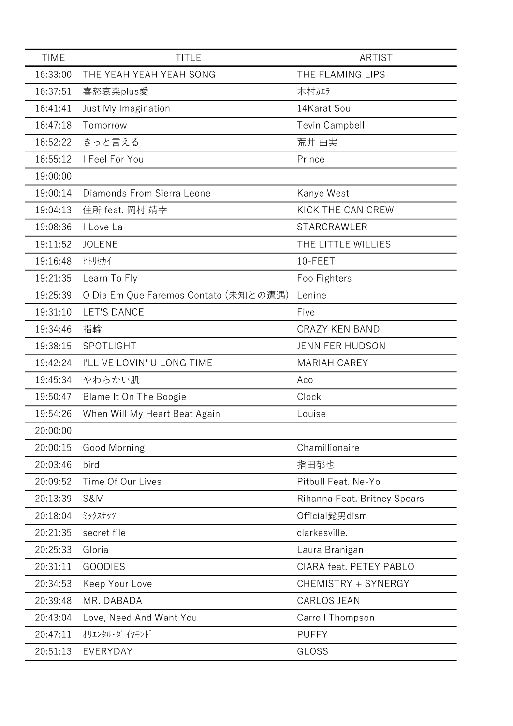| <b>TIME</b> | <b>TITLE</b>                          | <b>ARTIST</b>                |
|-------------|---------------------------------------|------------------------------|
| 16:33:00    | THE YEAH YEAH YEAH SONG               | THE FLAMING LIPS             |
| 16:37:51    | 喜怒哀楽plus愛                             | 木村加う                         |
| 16:41:41    | Just My Imagination                   | 14Karat Soul                 |
| 16:47:18    | Tomorrow                              | <b>Tevin Campbell</b>        |
| 16:52:22    | きっと言える                                | 荒井 由実                        |
| 16:55:12    | I Feel For You                        | Prince                       |
| 19:00:00    |                                       |                              |
| 19:00:14    | Diamonds From Sierra Leone            | Kanye West                   |
| 19:04:13    | 住所 feat. 岡村 靖幸                        | KICK THE CAN CREW            |
| 19:08:36    | I Love La                             | <b>STARCRAWLER</b>           |
| 19:11:52    | <b>JOLENE</b>                         | THE LITTLE WILLIES           |
| 19:16:48    | ヒトリセカイ                                | 10-FEET                      |
| 19:21:35    | Learn To Fly                          | Foo Fighters                 |
| 19:25:39    | O Dia Em Que Faremos Contato (未知との遭遇) | Lenine                       |
| 19:31:10    | <b>LET'S DANCE</b>                    | Five                         |
| 19:34:46    | 指輪                                    | <b>CRAZY KEN BAND</b>        |
| 19:38:15    | SPOTLIGHT                             | <b>JENNIFER HUDSON</b>       |
| 19:42:24    | I'LL VE LOVIN' U LONG TIME            | <b>MARIAH CAREY</b>          |
| 19:45:34    | やわらかい肌                                | Aco                          |
| 19:50:47    | Blame It On The Boogie                | Clock                        |
| 19:54:26    | When Will My Heart Beat Again         | Louise                       |
| 20:00:00    |                                       |                              |
| 20:00:15    | Good Morning                          | Chamillionaire               |
| 20:03:46    | bird                                  | 指田郁也                         |
| 20:09:52    | Time Of Our Lives                     | Pitbull Feat. Ne-Yo          |
| 20:13:39    | <b>S&amp;M</b>                        | Rihanna Feat. Britney Spears |
| 20:18:04    | ミックスナッツ                               | Official髭男dism               |
| 20:21:35    | secret file                           | clarkesville.                |
| 20:25:33    | Gloria                                | Laura Branigan               |
| 20:31:11    | <b>GOODIES</b>                        | CIARA feat. PETEY PABLO      |
| 20:34:53    | Keep Your Love                        | CHEMISTRY + SYNERGY          |
| 20:39:48    | MR. DABADA                            | CARLOS JEAN                  |
| 20:43:04    | Love, Need And Want You               | Carroll Thompson             |
| 20:47:11    | オリエンタル・ダ イヤモント゛                       | <b>PUFFY</b>                 |
| 20:51:13    | EVERYDAY                              | GLOSS                        |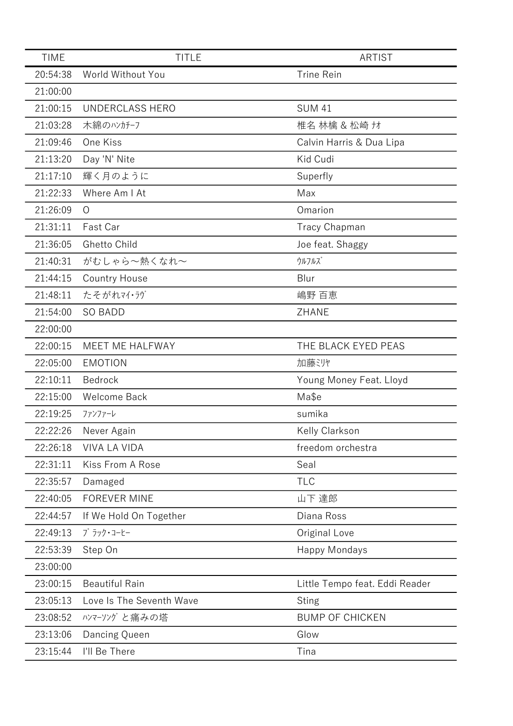| <b>TIME</b> | <b>TITLE</b>             | <b>ARTIST</b>                  |
|-------------|--------------------------|--------------------------------|
| 20:54:38    | World Without You        | <b>Trine Rein</b>              |
| 21:00:00    |                          |                                |
| 21:00:15    | <b>UNDERCLASS HERO</b>   | <b>SUM 41</b>                  |
| 21:03:28    | 木綿のハンカチーフ                | 椎名 林檎 & 松崎 ナオ                  |
| 21:09:46    | One Kiss                 | Calvin Harris & Dua Lipa       |
| 21:13:20    | Day 'N' Nite             | Kid Cudi                       |
| 21:17:10    | 輝く月のように                  | Superfly                       |
| 21:22:33    | Where Am I At            | Max                            |
| 21:26:09    | $\circ$                  | Omarion                        |
| 21:31:11    | Fast Car                 | <b>Tracy Chapman</b>           |
| 21:36:05    | Ghetto Child             | Joe feat. Shaggy               |
| 21:40:31    | がむしゃら~熱くなれ~              | ウルフルズ                          |
| 21:44:15    | <b>Country House</b>     | Blur                           |
| 21:48:11    | たそがれマイ・ラグ                | 嶋野 百恵                          |
| 21:54:00    | <b>SO BADD</b>           | ZHANE                          |
| 22:00:00    |                          |                                |
| 22:00:15    | MEET ME HALFWAY          | THE BLACK EYED PEAS            |
| 22:05:00    | <b>EMOTION</b>           | 加藤ミリヤ                          |
| 22:10:11    | Bedrock                  | Young Money Feat. Lloyd        |
| 22:15:00    | <b>Welcome Back</b>      | Ma\$e                          |
| 22:19:25    | ファンファーレ                  | sumika                         |
| 22:22:26    | Never Again              | Kelly Clarkson                 |
| 22:26:18    | <b>VIVA LA VIDA</b>      | freedom orchestra              |
| 22:31:11    | Kiss From A Rose         | Seal                           |
| 22:35:57    | Damaged                  | <b>TLC</b>                     |
| 22:40:05    | <b>FOREVER MINE</b>      | 山下 達郎                          |
| 22:44:57    | If We Hold On Together   | Diana Ross                     |
| 22:49:13    | ブ ラック・コーヒー               | Original Love                  |
| 22:53:39    | Step On                  | <b>Happy Mondays</b>           |
| 23:00:00    |                          |                                |
| 23:00:15    | <b>Beautiful Rain</b>    | Little Tempo feat. Eddi Reader |
| 23:05:13    | Love Is The Seventh Wave | <b>Sting</b>                   |
| 23:08:52    | ハンマーソングと痛みの塔             | <b>BUMP OF CHICKEN</b>         |
| 23:13:06    | Dancing Queen            | Glow                           |
| 23:15:44    | I'll Be There            | Tina                           |